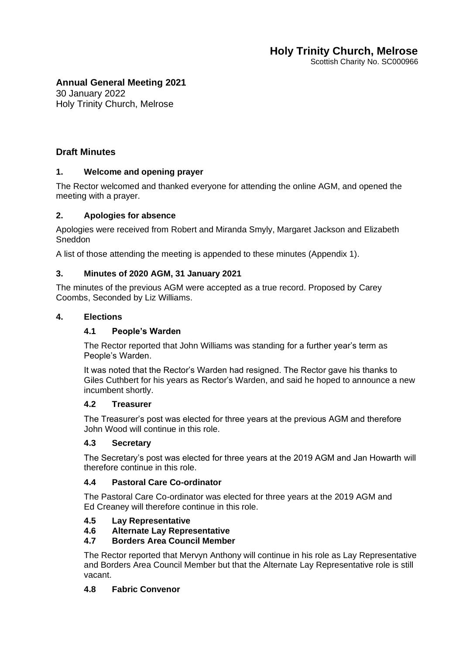Scottish Charity No. SC000966

# **Annual General Meeting 2021**

30 January 2022 Holy Trinity Church, Melrose

# **Draft Minutes**

## **1. Welcome and opening prayer**

The Rector welcomed and thanked everyone for attending the online AGM, and opened the meeting with a prayer.

## **2. Apologies for absence**

Apologies were received from Robert and Miranda Smyly, Margaret Jackson and Elizabeth Sneddon

A list of those attending the meeting is appended to these minutes (Appendix 1).

# **3. Minutes of 2020 AGM, 31 January 2021**

The minutes of the previous AGM were accepted as a true record. Proposed by Carey Coombs, Seconded by Liz Williams.

## **4. Elections**

# **4.1 People's Warden**

The Rector reported that John Williams was standing for a further year's term as People's Warden.

It was noted that the Rector's Warden had resigned. The Rector gave his thanks to Giles Cuthbert for his years as Rector's Warden, and said he hoped to announce a new incumbent shortly.

## **4.2 Treasurer**

The Treasurer's post was elected for three years at the previous AGM and therefore John Wood will continue in this role.

## **4.3 Secretary**

The Secretary's post was elected for three years at the 2019 AGM and Jan Howarth will therefore continue in this role.

## **4.4 Pastoral Care Co-ordinator**

The Pastoral Care Co-ordinator was elected for three years at the 2019 AGM and Ed Creaney will therefore continue in this role.

## **4.5 Lay Representative**

# **4.6 Alternate Lay Representative**

# **4.7 Borders Area Council Member**

The Rector reported that Mervyn Anthony will continue in his role as Lay Representative and Borders Area Council Member but that the Alternate Lay Representative role is still vacant.

## **4.8 Fabric Convenor**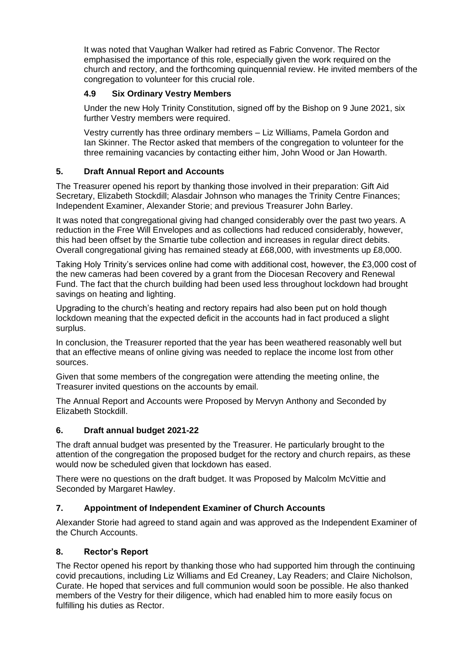It was noted that Vaughan Walker had retired as Fabric Convenor. The Rector emphasised the importance of this role, especially given the work required on the church and rectory, and the forthcoming quinquennial review. He invited members of the congregation to volunteer for this crucial role.

# **4.9 Six Ordinary Vestry Members**

Under the new Holy Trinity Constitution, signed off by the Bishop on 9 June 2021, six further Vestry members were required.

Vestry currently has three ordinary members – Liz Williams, Pamela Gordon and Ian Skinner. The Rector asked that members of the congregation to volunteer for the three remaining vacancies by contacting either him, John Wood or Jan Howarth.

# **5. Draft Annual Report and Accounts**

The Treasurer opened his report by thanking those involved in their preparation: Gift Aid Secretary, Elizabeth Stockdill; Alasdair Johnson who manages the Trinity Centre Finances; Independent Examiner, Alexander Storie; and previous Treasurer John Barley.

It was noted that congregational giving had changed considerably over the past two years. A reduction in the Free Will Envelopes and as collections had reduced considerably, however, this had been offset by the Smartie tube collection and increases in regular direct debits. Overall congregational giving has remained steady at £68,000, with investments up £8,000.

Taking Holy Trinity's services online had come with additional cost, however, the £3,000 cost of the new cameras had been covered by a grant from the Diocesan Recovery and Renewal Fund. The fact that the church building had been used less throughout lockdown had brought savings on heating and lighting.

Upgrading to the church's heating and rectory repairs had also been put on hold though lockdown meaning that the expected deficit in the accounts had in fact produced a slight surplus.

In conclusion, the Treasurer reported that the year has been weathered reasonably well but that an effective means of online giving was needed to replace the income lost from other sources.

Given that some members of the congregation were attending the meeting online, the Treasurer invited questions on the accounts by email.

The Annual Report and Accounts were Proposed by Mervyn Anthony and Seconded by Elizabeth Stockdill.

# **6. Draft annual budget 2021-22**

The draft annual budget was presented by the Treasurer. He particularly brought to the attention of the congregation the proposed budget for the rectory and church repairs, as these would now be scheduled given that lockdown has eased.

There were no questions on the draft budget. It was Proposed by Malcolm McVittie and Seconded by Margaret Hawley.

# **7. Appointment of Independent Examiner of Church Accounts**

Alexander Storie had agreed to stand again and was approved as the Independent Examiner of the Church Accounts.

# **8. Rector's Report**

The Rector opened his report by thanking those who had supported him through the continuing covid precautions, including Liz Williams and Ed Creaney, Lay Readers; and Claire Nicholson, Curate. He hoped that services and full communion would soon be possible. He also thanked members of the Vestry for their diligence, which had enabled him to more easily focus on fulfilling his duties as Rector.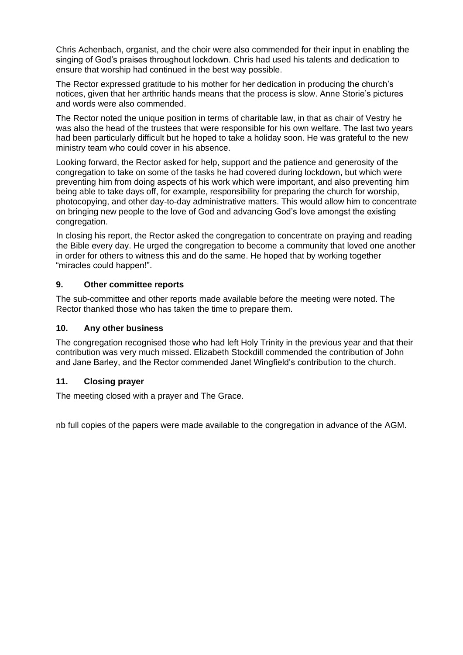Chris Achenbach, organist, and the choir were also commended for their input in enabling the singing of God's praises throughout lockdown. Chris had used his talents and dedication to ensure that worship had continued in the best way possible.

The Rector expressed gratitude to his mother for her dedication in producing the church's notices, given that her arthritic hands means that the process is slow. Anne Storie's pictures and words were also commended.

The Rector noted the unique position in terms of charitable law, in that as chair of Vestry he was also the head of the trustees that were responsible for his own welfare. The last two years had been particularly difficult but he hoped to take a holiday soon. He was grateful to the new ministry team who could cover in his absence.

Looking forward, the Rector asked for help, support and the patience and generosity of the congregation to take on some of the tasks he had covered during lockdown, but which were preventing him from doing aspects of his work which were important, and also preventing him being able to take days off, for example, responsibility for preparing the church for worship, photocopying, and other day-to-day administrative matters. This would allow him to concentrate on bringing new people to the love of God and advancing God's love amongst the existing congregation.

In closing his report, the Rector asked the congregation to concentrate on praying and reading the Bible every day. He urged the congregation to become a community that loved one another in order for others to witness this and do the same. He hoped that by working together "miracles could happen!".

# **9. Other committee reports**

The sub-committee and other reports made available before the meeting were noted. The Rector thanked those who has taken the time to prepare them.

# **10. Any other business**

The congregation recognised those who had left Holy Trinity in the previous year and that their contribution was very much missed. Elizabeth Stockdill commended the contribution of John and Jane Barley, and the Rector commended Janet Wingfield's contribution to the church.

## **11. Closing prayer**

The meeting closed with a prayer and The Grace.

nb full copies of the papers were made available to the congregation in advance of the AGM.